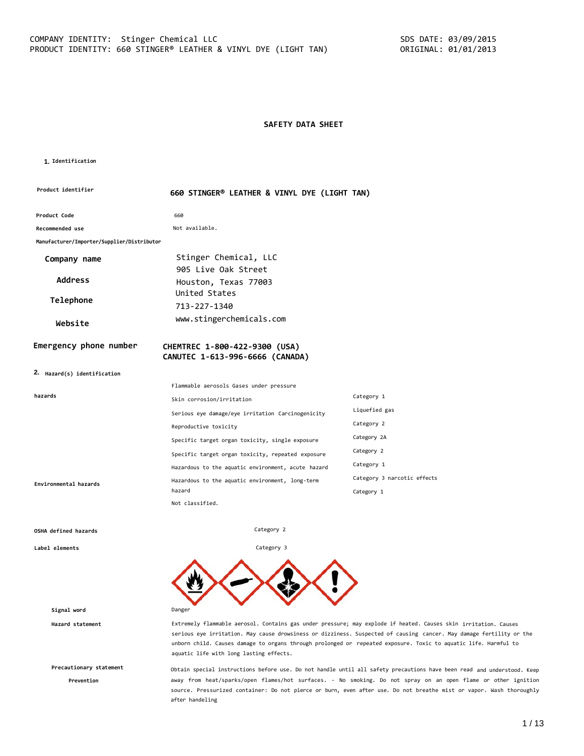# **SAFETY DATA SHEET**

#### **1. Identification**

| Product identifier                         | 660 STINGER® LEATHER & VINYL DYE (LIGHT TAN)                     |                             |  |
|--------------------------------------------|------------------------------------------------------------------|-----------------------------|--|
| Product Code                               | 660                                                              |                             |  |
| Recommended use                            | Not available.                                                   |                             |  |
| Manufacturer/Importer/Supplier/Distributor |                                                                  |                             |  |
| Company name                               | Stinger Chemical, LLC                                            |                             |  |
| <b>Address</b>                             | 905 Live Oak Street<br>Houston, Texas 77003                      |                             |  |
| Telephone                                  | United States<br>713-227-1340                                    |                             |  |
| Website                                    | www.stingerchemicals.com                                         |                             |  |
| Emergency phone number                     | CHEMTREC 1-800-422-9300 (USA)<br>CANUTEC 1-613-996-6666 (CANADA) |                             |  |
| 2. Hazard(s) identification                |                                                                  |                             |  |
|                                            | Flammable aerosols Gases under pressure                          |                             |  |
| hazards                                    | Skin corrosion/irritation                                        | Category 1                  |  |
|                                            | Serious eye damage/eye irritation Carcinogenicity                | Liquefied gas               |  |
|                                            | Reproductive toxicity                                            | Category 2                  |  |
|                                            | Specific target organ toxicity, single exposure                  | Category 2A                 |  |
|                                            | Specific target organ toxicity, repeated exposure                | Category 2                  |  |
|                                            | Hazardous to the aquatic environment, acute hazard               | Category 1                  |  |
| Environmental hazards                      | Hazardous to the aquatic environment, long-term<br>hazard        | Category 3 narcotic effects |  |
|                                            | Not classified.                                                  | Category 1                  |  |

Category 2

Category 3

#### **OSHA defined hazards**

**Label elements**

**Signal word** Danger

**Precautionary statement**

**Prevention**

**Hazard statement** Extremely flammable aerosol. Contains gas under pressure; may explode if heated. Causes skin irritation. Causes serious eye irritation. May cause drowsiness or dizziness. Suspected of causing cancer. May damage fertility or the unborn child. Causes damage to organs through prolonged or repeated exposure. Toxic to aquatic life. Harmful to aquatic life with long lasting effects.

> Obtain special instructions before use. Do not handle until all safety precautions have been read and understood. Keep away from heat/sparks/open flames/hot surfaces. - No smoking. Do not spray on an open flame or other ignition source. Pressurized container: Do not pierce or burn, even after use. Do not breathe mist or vapor. Wash thoroughly after handeling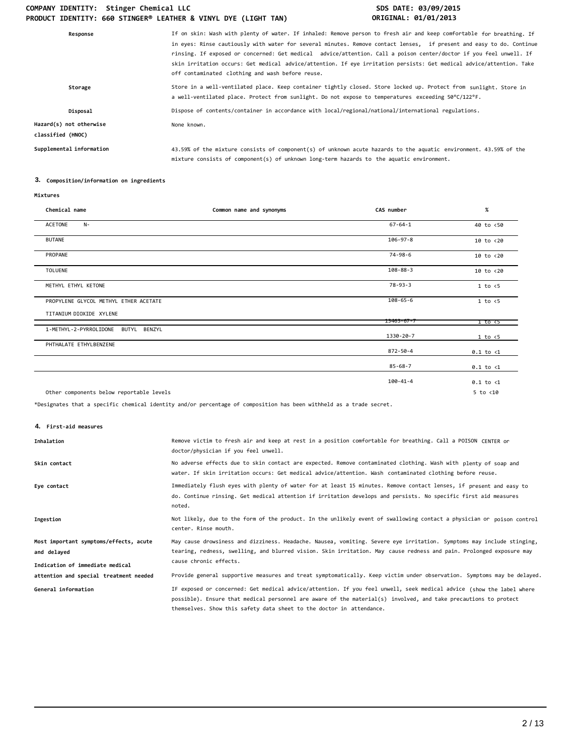# COMPANY IDENTITY: Stinger Chemical LLC **SDS DATE: 03/09/2015 PRODUCT IDENTITY: 660 STINGER® LEATHER & VINYL DYE (LIGHT TAN) ORIGINAL: 01/01/2013**

| Response                                     | If on skin: Wash with plenty of water. If inhaled: Remove person to fresh air and keep comfortable for breathing. If<br>in eyes: Rinse cautiously with water for several minutes. Remove contact lenses, if present and easy to do. Continue<br>rinsing. If exposed or concerned: Get medical advice/attention. Call a poison center/doctor if you feel unwell. If<br>skin irritation occurs: Get medical advice/attention. If eye irritation persists: Get medical advice/attention. Take<br>off contaminated clothing and wash before reuse. |
|----------------------------------------------|------------------------------------------------------------------------------------------------------------------------------------------------------------------------------------------------------------------------------------------------------------------------------------------------------------------------------------------------------------------------------------------------------------------------------------------------------------------------------------------------------------------------------------------------|
| Storage                                      | Store in a well-ventilated place. Keep container tightly closed. Store locked up. Protect from sunlight. Store in<br>a well-ventilated place. Protect from sunlight. Do not expose to temperatures exceeding 50°C/122°F.                                                                                                                                                                                                                                                                                                                       |
| Disposal                                     | Dispose of contents/container in accordance with local/regional/national/international regulations.                                                                                                                                                                                                                                                                                                                                                                                                                                            |
| Hazard(s) not otherwise<br>classified (HNOC) | None known.                                                                                                                                                                                                                                                                                                                                                                                                                                                                                                                                    |
| Supplemental information                     | 43.59% of the mixture consists of component(s) of unknown acute hazards to the aquatic environment. 43.59% of the<br>mixture consists of component(s) of unknown long-term hazards to the aquatic environment.                                                                                                                                                                                                                                                                                                                                 |

# **3. Composition/information on ingredients**

| Chemical name                            | Common name and synonyms | CAS number       | $\%$                  |
|------------------------------------------|--------------------------|------------------|-----------------------|
| ACETONE<br>$N-$                          |                          | $67 - 64 - 1$    | 40 to <50             |
| <b>BUTANE</b>                            |                          | $106 - 97 - 8$   | 10 to <20             |
| PROPANE                                  |                          | $74 - 98 - 6$    | 10 to <20             |
| <b>TOLUENE</b>                           |                          | $108 - 88 - 3$   | 10 to <20             |
| METHYL ETHYL KETONE                      |                          | $78 - 93 - 3$    | 1 to < 5              |
| PROPYLENE GLYCOL METHYL ETHER ACETATE    |                          | $108 - 65 - 6$   | 1 to < 5              |
| TITANIUM DIOXIDE XYLENE                  |                          | $13463 - 67 - 7$ | $1$ to $\overline{c}$ |
| 1-METHYL-2-PYRROLIDONE<br>BUTYL BENZYL   |                          | 1330-20-7        | 1 to < 5              |
| PHTHALATE ETHYLBENZENE                   |                          | 872-50-4         | $0.1$ to $\langle 1$  |
|                                          |                          | $85 - 68 - 7$    | $0.1$ to $\langle 1$  |
|                                          |                          | 100-41-4         | $0.1$ to $\langle 1$  |
| Other components below reportable levels |                          |                  | $5$ to $<$ 10         |

\*Designates that a specific chemical identity and/or percentage of composition has been withheld as a trade secret.

**4. First-aid measures**

| Inhalation                             | Remove victim to fresh air and keep at rest in a position comfortable for breathing. Call a POISON CENTER or<br>doctor/physician if you feel unwell.                                                                                                                                                            |
|----------------------------------------|-----------------------------------------------------------------------------------------------------------------------------------------------------------------------------------------------------------------------------------------------------------------------------------------------------------------|
| Skin contact                           | No adverse effects due to skin contact are expected. Remove contaminated clothing. Wash with plenty of soap and<br>water. If skin irritation occurs: Get medical advice/attention. Wash contaminated clothing before reuse.                                                                                     |
| Eye contact                            | Immediately flush eyes with plenty of water for at least 15 minutes. Remove contact lenses, if present and easy to<br>do. Continue rinsing. Get medical attention if irritation develops and persists. No specific first aid measures<br>noted.                                                                 |
| Ingestion                              | Not likely, due to the form of the product. In the unlikely event of swallowing contact a physician or poison control<br>center. Rinse mouth.                                                                                                                                                                   |
| Most important symptoms/effects, acute | May cause drowsiness and dizziness. Headache. Nausea, vomiting. Severe eye irritation. Symptoms may include stinging,                                                                                                                                                                                           |
| and delayed                            | tearing, redness, swelling, and blurred vision. Skin irritation. May cause redness and pain. Prolonged exposure may                                                                                                                                                                                             |
| Indication of immediate medical        | cause chronic effects.                                                                                                                                                                                                                                                                                          |
| attention and special treatment needed | Provide general supportive measures and treat symptomatically. Keep victim under observation. Symptoms may be delayed.                                                                                                                                                                                          |
| General information                    | IF exposed or concerned: Get medical advice/attention. If you feel unwell, seek medical advice (show the label where<br>possible). Ensure that medical personnel are aware of the material(s) involved, and take precautions to protect<br>themselves. Show this safety data sheet to the doctor in attendance. |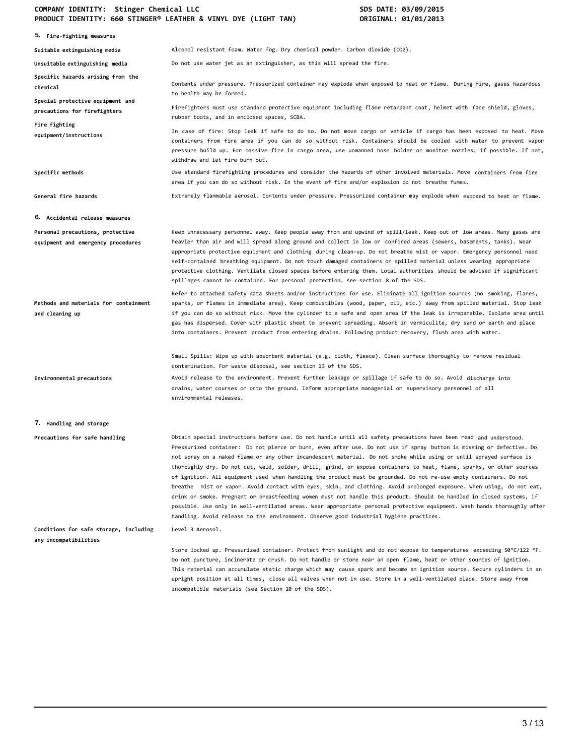# **COMPANY IDENTITY: Stinger Chemical LLC SDS DATE: 03/09/2015 PRODUCT IDENTITY: 660 STINGER® LEATHER & VINYL DYE (LIGHT TAN) ORIGINAL: 01/01/2013**

| FRODOCI IDENTITI, OOO STINGER" EEATHER & VINTE DTE (EIGHT TAN)         | OUTATIANT' AT\AT\TATI                                                                                                                                                                                                                                                                                                                                                                                                                                                                                                                                                                                                                                                                                                                                                                                                                                                                                                                                                                                                                                                                   |
|------------------------------------------------------------------------|-----------------------------------------------------------------------------------------------------------------------------------------------------------------------------------------------------------------------------------------------------------------------------------------------------------------------------------------------------------------------------------------------------------------------------------------------------------------------------------------------------------------------------------------------------------------------------------------------------------------------------------------------------------------------------------------------------------------------------------------------------------------------------------------------------------------------------------------------------------------------------------------------------------------------------------------------------------------------------------------------------------------------------------------------------------------------------------------|
| 5. Fire-fighting measures                                              |                                                                                                                                                                                                                                                                                                                                                                                                                                                                                                                                                                                                                                                                                                                                                                                                                                                                                                                                                                                                                                                                                         |
| Suitable extinguishing media                                           | Alcohol resistant foam. Water fog. Dry chemical powder. Carbon dioxide (CO2).                                                                                                                                                                                                                                                                                                                                                                                                                                                                                                                                                                                                                                                                                                                                                                                                                                                                                                                                                                                                           |
| Unsuitable extinguishing media                                         | Do not use water jet as an extinguisher, as this will spread the fire.                                                                                                                                                                                                                                                                                                                                                                                                                                                                                                                                                                                                                                                                                                                                                                                                                                                                                                                                                                                                                  |
| Specific hazards arising from the<br>chemical                          | Contents under pressure. Pressurized container may explode when exposed to heat or flame. During fire, gases hazardous<br>to health may be formed.                                                                                                                                                                                                                                                                                                                                                                                                                                                                                                                                                                                                                                                                                                                                                                                                                                                                                                                                      |
| Special protective equipment and<br>precautions for firefighters       | Firefighters must use standard protective equipment including flame retardant coat, helmet with face shield, gloves,<br>rubber boots, and in enclosed spaces, SCBA.                                                                                                                                                                                                                                                                                                                                                                                                                                                                                                                                                                                                                                                                                                                                                                                                                                                                                                                     |
| Fire fighting<br>equipment/instructions                                | In case of fire: Stop leak if safe to do so. Do not move cargo or vehicle if cargo has been exposed to heat. Move<br>containers from fire area if you can do so without risk. Containers should be cooled with water to prevent vapor<br>pressure build up. For massive fire in cargo area, use unmanned hose holder or monitor nozzles, if possible. If not,<br>withdraw and let fire burn out.                                                                                                                                                                                                                                                                                                                                                                                                                                                                                                                                                                                                                                                                                        |
| Specific methods                                                       | Use standard firefighting procedures and consider the hazards of other involved materials. Move containers from fire<br>area if you can do so without risk. In the event of fire and/or explosion do not breathe fumes.                                                                                                                                                                                                                                                                                                                                                                                                                                                                                                                                                                                                                                                                                                                                                                                                                                                                 |
| General fire hazards                                                   | Extremely flammable aerosol. Contents under pressure. Pressurized container may explode when exposed to heat or flame.                                                                                                                                                                                                                                                                                                                                                                                                                                                                                                                                                                                                                                                                                                                                                                                                                                                                                                                                                                  |
| 6. Accidental release measures                                         |                                                                                                                                                                                                                                                                                                                                                                                                                                                                                                                                                                                                                                                                                                                                                                                                                                                                                                                                                                                                                                                                                         |
| Personal precautions, protective<br>equipment and emergency procedures | Keep unnecessary personnel away. Keep people away from and upwind of spill/leak. Keep out of low areas. Many gases are<br>heavier than air and will spread along ground and collect in low or confined areas (sewers, basements, tanks). Wear<br>appropriate protective equipment and clothing during clean-up. Do not breathe mist or vapor. Emergency personnel need<br>self-contained breathing equipment. Do not touch damaged containers or spilled material unless wearing appropriate<br>protective clothing. Ventilate closed spaces before entering them. Local authorities should be advised if significant<br>spillages cannot be contained. For personal protection, see section 8 of the SDS.                                                                                                                                                                                                                                                                                                                                                                              |
| Methods and materials for containment<br>and cleaning up               | Refer to attached safety data sheets and/or instructions for use. Eliminate all ignition sources (no smoking, flares,<br>sparks, or flames in immediate area). Keep combustibles (wood, paper, oil, etc.) away from spilled material. Stop leak<br>if you can do so without risk. Move the cylinder to a safe and open area if the leak is irreparable. Isolate area until<br>gas has dispersed. Cover with plastic sheet to prevent spreading. Absorb in vermiculite, dry sand or earth and place<br>into containers. Prevent product from entering drains. Following product recovery, flush area with water.                                                                                                                                                                                                                                                                                                                                                                                                                                                                         |
|                                                                        | Small Spills: Wipe up with absorbent material (e.g. cloth, fleece). Clean surface thoroughly to remove residual<br>contamination. For waste disposal, see section 13 of the SDS.                                                                                                                                                                                                                                                                                                                                                                                                                                                                                                                                                                                                                                                                                                                                                                                                                                                                                                        |
| Environmental precautions                                              | Avoid release to the environment. Prevent further leakage or spillage if safe to do so. Avoid discharge into<br>drains, water courses or onto the ground. Inform appropriate managerial or supervisory personnel of all<br>environmental releases.                                                                                                                                                                                                                                                                                                                                                                                                                                                                                                                                                                                                                                                                                                                                                                                                                                      |
| 7. Handling and storage                                                |                                                                                                                                                                                                                                                                                                                                                                                                                                                                                                                                                                                                                                                                                                                                                                                                                                                                                                                                                                                                                                                                                         |
| Precautions for safe handling                                          | Obtain special instructions before use. Do not handle until all safety precautions have been read and understood.<br>Pressurized container: Do not pierce or burn, even after use. Do not use if spray button is missing or defective. Do<br>not spray on a naked flame or any other incandescent material. Do not smoke while using or until sprayed surface is<br>thoroughly dry. Do not cut, weld, solder, drill, grind, or expose containers to heat, flame, sparks, or other sources<br>of ignition. All equipment used when handling the product must be grounded. Do not re-use empty containers. Do not<br>breathe mist or vapor. Avoid contact with eyes, skin, and clothing. Avoid prolonged exposure. When using, do not eat,<br>drink or smoke. Pregnant or breastfeeding women must not handle this product. Should be handled in closed systems, if<br>possible. Use only in well-ventilated areas. Wear appropriate personal protective equipment. Wash hands thoroughly after<br>handling. Avoid release to the environment. Observe good industrial hygiene practices. |
| Conditions for safe storage, including<br>any incompatibilities        | Level 3 Aerosol.                                                                                                                                                                                                                                                                                                                                                                                                                                                                                                                                                                                                                                                                                                                                                                                                                                                                                                                                                                                                                                                                        |
|                                                                        | Store locked up. Pressurized container. Protect from sunlight and do not expose to temperatures exceeding 50°C/122 °F.<br>Do not puncture, incinerate or crush. Do not handle or store near an open flame, heat or other sources of ignition.<br>This material can accumulate static charge which may cause spark and become an ignition source. Secure cylinders in an<br>upright position at all times, close all valves when not in use. Store in a well-ventilated place. Store away from<br>incompatible materials (see Section 10 of the SDS).                                                                                                                                                                                                                                                                                                                                                                                                                                                                                                                                    |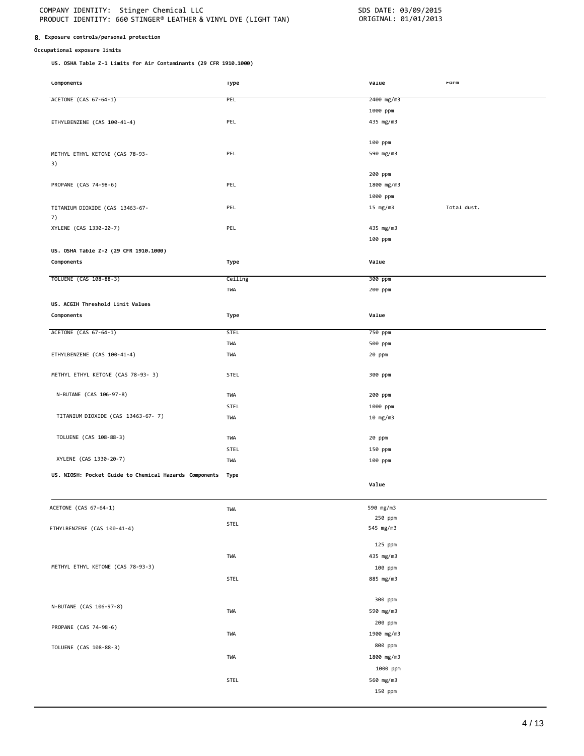### **8. Exposure controls/personal protection**

## **Occupational exposure limits**

**US. OSHA Table Z-1 Limits for Air Contaminants (29 CFR 1910.1000)**

| <b>LOMPONENTS</b>                                           | <b>1</b> ype | varue      | rorm        |
|-------------------------------------------------------------|--------------|------------|-------------|
| ACETONE (CAS 67-64-1)                                       | <b>PEL</b>   | 2400 mg/m3 |             |
|                                                             |              | 1000 ppm   |             |
|                                                             | PEL          |            |             |
| ETHYLBENZENE (CAS 100-41-4)                                 |              | 435 mg/m3  |             |
|                                                             |              | 100 ppm    |             |
|                                                             | PEL          |            |             |
| METHYL ETHYL KETONE (CAS 78-93-<br>3)                       |              | 590 mg/m3  |             |
|                                                             |              | 200 ppm    |             |
| PROPANE (CAS 74-98-6)                                       | PEL          | 1800 mg/m3 |             |
|                                                             |              | 1000 ppm   |             |
|                                                             | PEL          |            | Total dust. |
| TITANIUM DIOXIDE (CAS 13463-67-<br>7)                       |              | 15 mg/m3   |             |
| XYLENE (CAS 1330-20-7)                                      | PEL          | 435 mg/m3  |             |
|                                                             |              | 100 ppm    |             |
| US. OSHA Table Z-2 (29 CFR 1910.1000)                       |              |            |             |
| Components                                                  | Type         | Value      |             |
|                                                             |              |            |             |
| TOLUENE (CAS 108-88-3)                                      | Ceiling      | 300 ppm    |             |
|                                                             | TWA          | 200 ppm    |             |
| US. ACGIH Threshold Limit Values                            |              |            |             |
| Components                                                  | Type         | Value      |             |
|                                                             |              |            |             |
| ACETONE (CAS 67-64-1)                                       | <b>STEL</b>  | 750 ppm    |             |
|                                                             | TWA          | 500 ppm    |             |
| ETHYLBENZENE (CAS 100-41-4)                                 | TWA          | 20 ppm     |             |
|                                                             | STEL         | 300 ppm    |             |
| METHYL ETHYL KETONE (CAS 78-93- 3)                          |              |            |             |
| N-BUTANE (CAS 106-97-8)                                     | TWA          | 200 ppm    |             |
|                                                             | <b>STEL</b>  | 1000 ppm   |             |
| TITANIUM DIOXIDE (CAS 13463-67-7)                           | TWA          | 10 mg/m3   |             |
|                                                             |              |            |             |
| TOLUENE (CAS 108-88-3)                                      | TWA          | 20 ppm     |             |
|                                                             | STEL         | 150 ppm    |             |
| XYLENE (CAS 1330-20-7)                                      | TWA          | 100 ppm    |             |
| US. NIOSH: Pocket Guide to Chemical Hazards Components Type |              |            |             |
|                                                             |              | Value      |             |
|                                                             |              |            |             |
| ACETONE (CAS 67-64-1)                                       | TWA          | 590 mg/m3  |             |
|                                                             |              | 250 ppm    |             |
| ETHYLBENZENE (CAS 100-41-4)                                 | STEL         | 545 mg/m3  |             |
|                                                             |              |            |             |
|                                                             |              | 125 ppm    |             |
|                                                             | TWA          | 435 mg/m3  |             |
| METHYL ETHYL KETONE (CAS 78-93-3)                           |              | 100 ppm    |             |
|                                                             | STEL         | 885 mg/m3  |             |
|                                                             |              |            |             |
| N-BUTANE (CAS 106-97-8)                                     |              | 300 ppm    |             |
|                                                             | TWA          | 590 mg/m3  |             |
| PROPANE (CAS 74-98-6)                                       |              | 200 ppm    |             |
|                                                             | TWA          | 1900 mg/m3 |             |
| TOLUENE (CAS 108-88-3)                                      |              | 800 ppm    |             |
|                                                             | TWA          | 1800 mg/m3 |             |
|                                                             |              | 1000 ppm   |             |
|                                                             | STEL         | 560 mg/m3  |             |
|                                                             |              | 150 ppm    |             |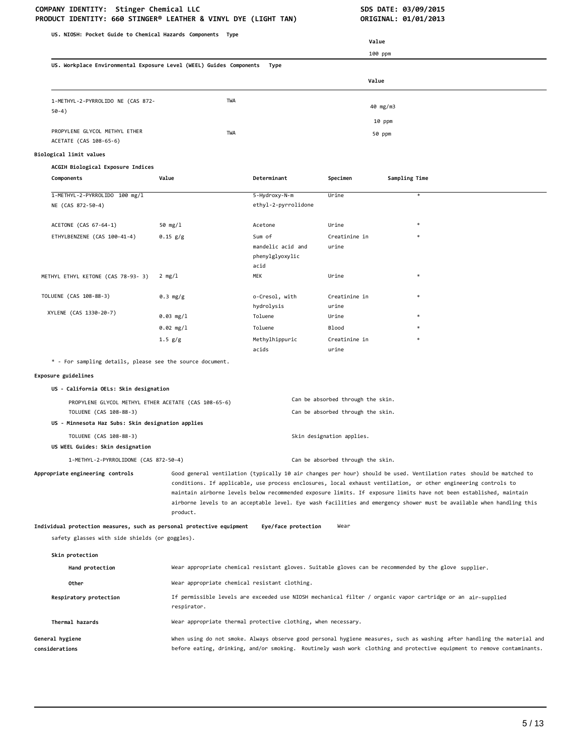### **COMPANY IDENTITY: Stinger Chemical LLC COMPANY IDENTITY: Stinger Chemical LLC SDS DATE: 03/09/2015 PRODUCT IDENTITY: 660 STINGER® LEATHER & VINYL DYE (LIGHT TAN) CRIGINAL: 01/01/2013 PRODUCT IDENTITY: 660 STINGER® LEATHER & VINYL DYE (LIGHT TAN)**

**US. NIOSH: Pocket Guide to Chemical Hazards Components Type US. Workplace Environmental Exposure Level (WEEL) Guides Components Type Value** 100 ppm **Value** 1-METHYL-2-PYRROLIDO NE (CAS 872- 50-4) PROPYLENE GLYCOL METHYL ETHER ACETATE (CAS 108-65-6) **Biological limit values ACGIH Biological Exposure Indices** TWA 40 mg/m3 10 ppm TWA 50 ppm **Components Value Determinant Specimen Sampling Time** 1-METHYL-2-PYRROLIDO 100 mg/l 5-Hydroxy-N-m Urine \* NE (CAS 872-50-4) ACETONE (CAS 67-64-1) ethyl-2-pyrrolidone 50 mg/l Acetone Urine \* ETHYLBENZENE (CAS 100-41-4) 0.15 g/g Sum of mandelic acid and phenylglyoxylic acid Creatinine in urine METHYL ETHYL KETONE (CAS 78-93- 3) 2 mg/l MEK MEK Urine TOLUENE (CAS 108-88-3) 0.3 mg/g o-Cresol, with hydrolysis Creatinine in urine 0.03 mg/l Toluene Urine \* 0.02 mg/l Toluene Blood \* XYLENE (CAS 1330-20-7) 1.5 g/g Methylhippuric acids Creatinine in urine \* - For sampling details, please see the source document. **Exposure guidelines US - California OELs: Skin designation** PROPYLENE GLYCOL METHYL ETHER ACETATE (CAS 108-65-6) Can be absorbed through the skin. TOLUENE (CAS 108-88-3) Can be absorbed through the skin. **US - Minnesota Haz Subs: Skin designation applies** TOLUENE (CAS 108-88-3) Skin designation applies. **US WEEL Guides: Skin designation** 1-METHYL-2-PYRROLIDONE (CAS 872-50-4) Can be absorbed through the skin. **Appropriate engineering controls** Good general ventilation (typically 10 air changes per hour) should be used. Ventilation rates should be matched to conditions. If applicable, use process enclosures, local exhaust ventilation, or other engineering controls to maintain airborne levels below recommended exposure limits. If exposure limits have not been established, maintain airborne levels to an acceptable level. Eye wash facilities and emergency shower must be available when handling this product. **Individual protection measures, such as personal protective equipment Eye/face protection** Wear safety glasses with side shields (or goggles). **Skin protection Hand protection** Wear appropriate chemical resistant gloves. Suitable gloves can be recommended by the glove supplier. Other **Other** Wear appropriate chemical resistant clothing. **Respiratory protection** If permissible levels are exceeded use NIOSH mechanical filter / organic vapor cartridge or an air-supplied respirator. **Thermal hazards** Wear appropriate thermal protective clothing, when necessary. **General hygiene considerations** When using do not smoke. Always observe good personal hygiene measures, such as washing after handling the material and before eating, drinking, and/or smoking. Routinely wash work clothing and protective equipment to remove contaminants.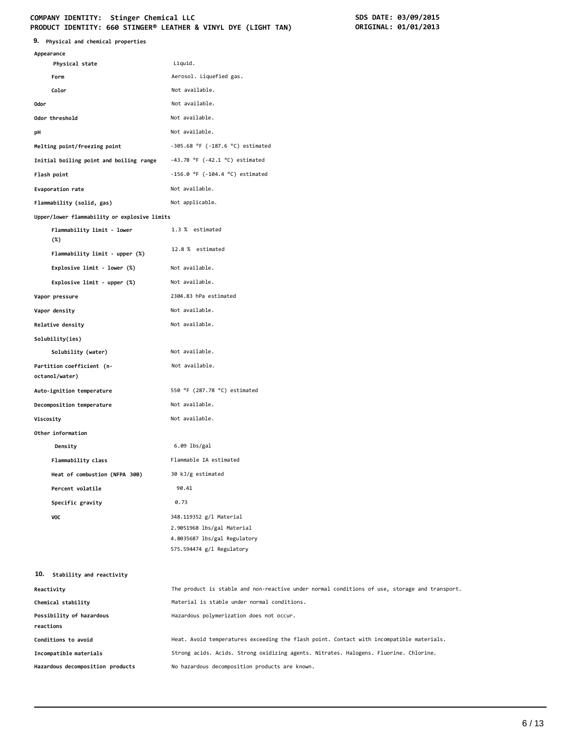# COMPANY IDENTITY: Stinger Chemical LLC<br>
PRODUCT IDENTITY: 660 STINGER® LEATHER & VINYL DYE (LIGHT TAN) **SDS DATE: 03/01/2013 PRODUCT IDENTITY: 660 STINGER® LEATHER & VINYL DYE (LIGHT TAN)**

| 9. Physical and chemical properties          |                                                                                               |
|----------------------------------------------|-----------------------------------------------------------------------------------------------|
| Appearance                                   |                                                                                               |
| Physical state                               | Liquid.                                                                                       |
| Form                                         | Aerosol. Liquefied gas.<br>Not available.                                                     |
| Color<br><b>Odor</b>                         | Not available.                                                                                |
| Odor threshold                               | Not available.                                                                                |
|                                              |                                                                                               |
| pH                                           | Not available.                                                                                |
| Melting point/freezing point                 | $-305.68$ °F ( $-187.6$ °C) estimated                                                         |
| Initial boiling point and boiling range      | $-43.78$ °F ( $-42.1$ °C) estimated                                                           |
| Flash point                                  | $-156.0$ °F ( $-104.4$ °C) estimated                                                          |
| Evaporation rate                             | Not available.                                                                                |
| Flammability (solid, gas)                    | Not applicable.                                                                               |
| Upper/lower flammability or explosive limits |                                                                                               |
| Flammability limit - lower<br>(%)            | 1.3 % estimated<br>12.8 % estimated                                                           |
| Flammability limit - upper (%)               |                                                                                               |
| Explosive limit - lower (%)                  | Not available.                                                                                |
| Explosive limit - upper (%)                  | Not available.                                                                                |
| Vapor pressure                               | 2304.83 hPa estimated                                                                         |
| Vapor density                                | Not available.                                                                                |
| Relative density                             | Not available.                                                                                |
| Solubility(ies)                              |                                                                                               |
| Solubility (water)                           | Not available.                                                                                |
| Partition coefficient (n-<br>octanol/water)  | Not available.                                                                                |
| Auto-ignition temperature                    | 550 °F (287.78 °C) estimated                                                                  |
| Decomposition temperature                    | Not available.                                                                                |
| Viscosity                                    | Not available.                                                                                |
| Other information                            |                                                                                               |
| Density                                      | $6.09$ lbs/gal                                                                                |
| Flammability class                           | Flammable IA estimated                                                                        |
| Heat of combustion (NFPA 30B)                | 30 kJ/g estimated                                                                             |
| Percent volatile                             | 90.41                                                                                         |
| Specific gravity                             | 0.73                                                                                          |
| VOC                                          | 348.119352 g/l Material                                                                       |
|                                              | 2.9051968 lbs/gal Material                                                                    |
|                                              | 4.8035687 lbs/gal Regulatory                                                                  |
|                                              | 575.594474 g/l Regulatory                                                                     |
| 10. Stability and reactivity                 |                                                                                               |
| Reactivity                                   | The product is stable and non-reactive under normal conditions of use, storage and transport. |
| Chemical stability                           | Material is stable under normal conditions.                                                   |
| Possibility of hazardous                     | Hazardous polymerization does not occur.                                                      |
| reactions                                    |                                                                                               |
| Conditions to avoid                          | Heat. Avoid temperatures exceeding the flash point. Contact with incompatible materials.      |
| Incompatible materials                       | Strong acids. Acids. Strong oxidizing agents. Nitrates. Halogens. Fluorine. Chlorine.         |
| Hazardous decomposition products             | No hazardous decomposition products are known.                                                |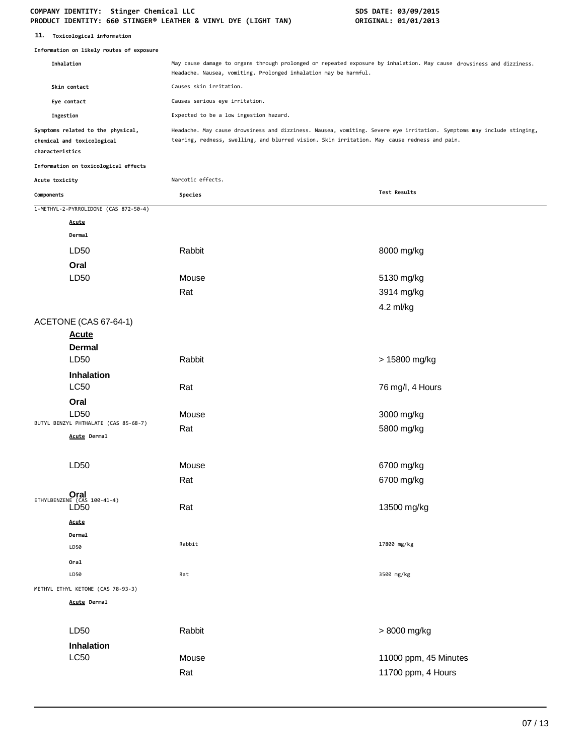#### **COMPANY IDENTITY: Stinger Chemical LLC SDS DATE: 03/09/2015 PRODUCT IDENTITY: 660 STINGER® LEATHER & VINYL DYE (LIGHT TAN) ORIGINAL: 01/01/2013**

| 11. | Toxicological information |  |
|-----|---------------------------|--|
|-----|---------------------------|--|

|                 | Information on likely routes of exposure                        |                                                                                                                                                                                                                       |                                             |  |
|-----------------|-----------------------------------------------------------------|-----------------------------------------------------------------------------------------------------------------------------------------------------------------------------------------------------------------------|---------------------------------------------|--|
| Inhalation      |                                                                 | May cause damage to organs through prolonged or repeated exposure by inhalation. May cause drowsiness and dizziness.<br>Headache. Nausea, vomiting. Prolonged inhalation may be harmful.                              |                                             |  |
|                 | Skin contact                                                    | Causes skin irritation.                                                                                                                                                                                               |                                             |  |
|                 | Eye contact                                                     | Causes serious eye irritation.                                                                                                                                                                                        |                                             |  |
| Ingestion       |                                                                 | Expected to be a low ingestion hazard.                                                                                                                                                                                |                                             |  |
| characteristics | Symptoms related to the physical,<br>chemical and toxicological | Headache. May cause drowsiness and dizziness. Nausea, vomiting. Severe eye irritation. Symptoms may include stinging,<br>tearing, redness, swelling, and blurred vision. Skin irritation. May cause redness and pain. |                                             |  |
|                 | Information on toxicological effects                            |                                                                                                                                                                                                                       |                                             |  |
| Acute toxicity  |                                                                 | Narcotic effects.                                                                                                                                                                                                     |                                             |  |
| Components      |                                                                 | Species                                                                                                                                                                                                               | Test Results                                |  |
|                 | 1-METHYL-2-PYRROLIDONE (CAS 872-50-4)                           |                                                                                                                                                                                                                       |                                             |  |
|                 | Acute                                                           |                                                                                                                                                                                                                       |                                             |  |
|                 | Dermal                                                          |                                                                                                                                                                                                                       |                                             |  |
|                 | LD50                                                            | Rabbit                                                                                                                                                                                                                | 8000 mg/kg                                  |  |
|                 | Oral                                                            |                                                                                                                                                                                                                       |                                             |  |
|                 | LD <sub>50</sub>                                                | Mouse                                                                                                                                                                                                                 | 5130 mg/kg                                  |  |
|                 |                                                                 | Rat                                                                                                                                                                                                                   | 3914 mg/kg                                  |  |
|                 |                                                                 |                                                                                                                                                                                                                       | 4.2 ml/kg                                   |  |
|                 | ACETONE (CAS 67-64-1)<br><b>Acute</b>                           |                                                                                                                                                                                                                       |                                             |  |
|                 | <b>Dermal</b><br>LD <sub>50</sub>                               | Rabbit                                                                                                                                                                                                                | > 15800 mg/kg                               |  |
|                 | Inhalation<br><b>LC50</b>                                       | Rat                                                                                                                                                                                                                   | 76 mg/l, 4 Hours                            |  |
|                 | Oral<br>LD50                                                    | Mouse                                                                                                                                                                                                                 | 3000 mg/kg                                  |  |
|                 | BUTYL BENZYL PHTHALATE (CAS 85-68-7)<br>Acute Dermal            | Rat                                                                                                                                                                                                                   | 5800 mg/kg                                  |  |
|                 | LD50                                                            | Mouse                                                                                                                                                                                                                 | 6700 mg/kg                                  |  |
|                 |                                                                 | Rat                                                                                                                                                                                                                   | 6700 mg/kg                                  |  |
|                 | $Oral$ ETHYLBENZENE (CAS 100-41-4)<br>LD <sub>50</sub>          | Rat                                                                                                                                                                                                                   | 13500 mg/kg                                 |  |
|                 | Acute<br>Dermal<br>LD50                                         | Rabbit                                                                                                                                                                                                                | 17800 mg/kg                                 |  |
|                 | Oral<br>LD50                                                    | Rat                                                                                                                                                                                                                   | 3500 mg/kg                                  |  |
|                 | METHYL ETHYL KETONE (CAS 78-93-3)                               |                                                                                                                                                                                                                       |                                             |  |
|                 | <b>Acute Dermal</b>                                             |                                                                                                                                                                                                                       |                                             |  |
|                 | LD50<br><b>Inhalation</b>                                       | Rabbit                                                                                                                                                                                                                | > 8000 mg/kg                                |  |
|                 | <b>LC50</b>                                                     | Mouse<br>Rat                                                                                                                                                                                                          | 11000 ppm, 45 Minutes<br>11700 ppm, 4 Hours |  |
|                 |                                                                 |                                                                                                                                                                                                                       |                                             |  |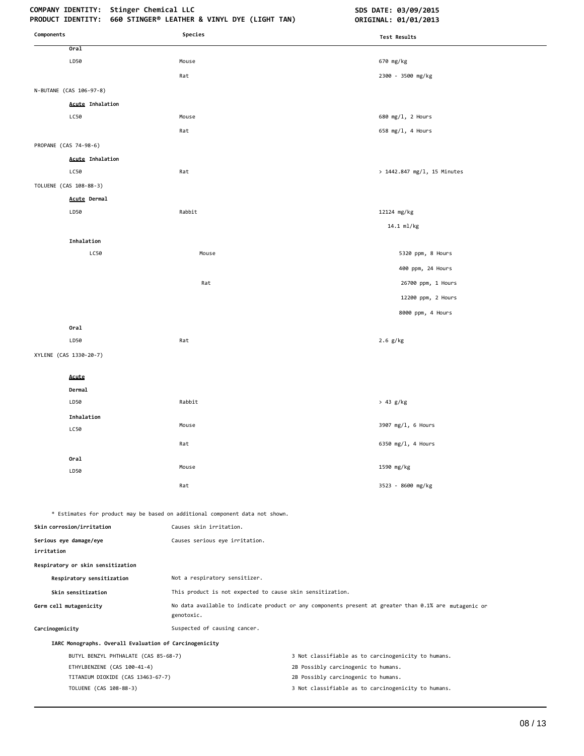# **COMPANY IDENTITY: Stinger Chemical LLC SDS DATE: 03/09/2015**

| Components                                             | Species                                                                      | Test Results                                                                                          |
|--------------------------------------------------------|------------------------------------------------------------------------------|-------------------------------------------------------------------------------------------------------|
| Oral                                                   |                                                                              |                                                                                                       |
| LD50                                                   | Mouse                                                                        | 670 mg/kg                                                                                             |
|                                                        | Rat                                                                          | 2300 - 3500 mg/kg                                                                                     |
| N-BUTANE (CAS 106-97-8)                                |                                                                              |                                                                                                       |
| <b>Acute Inhalation</b>                                |                                                                              |                                                                                                       |
| LC50                                                   | Mouse                                                                        | 680 mg/l, 2 Hours                                                                                     |
|                                                        | Rat                                                                          | 658 mg/l, 4 Hours                                                                                     |
| PROPANE (CAS 74-98-6)                                  |                                                                              |                                                                                                       |
| <b>Acute Inhalation</b>                                |                                                                              |                                                                                                       |
| LC50                                                   | Rat                                                                          | > 1442.847 mg/l, 15 Minutes                                                                           |
| TOLUENE (CAS 108-88-3)                                 |                                                                              |                                                                                                       |
| Acute Dermal                                           |                                                                              |                                                                                                       |
| LD50                                                   | Rabbit                                                                       | 12124 mg/kg                                                                                           |
|                                                        |                                                                              | 14.1 ml/kg                                                                                            |
| Inhalation                                             |                                                                              |                                                                                                       |
| LC50                                                   | Mouse                                                                        | 5320 ppm, 8 Hours                                                                                     |
|                                                        |                                                                              | 400 ppm, 24 Hours                                                                                     |
|                                                        | Rat                                                                          | 26700 ppm, 1 Hours                                                                                    |
|                                                        |                                                                              | 12200 ppm, 2 Hours                                                                                    |
|                                                        |                                                                              | 8000 ppm, 4 Hours                                                                                     |
| Oral                                                   |                                                                              |                                                                                                       |
| LD50                                                   | Rat                                                                          | $2.6$ g/kg                                                                                            |
| XYLENE (CAS 1330-20-7)                                 |                                                                              |                                                                                                       |
| Acute                                                  |                                                                              |                                                                                                       |
| Dermal                                                 |                                                                              |                                                                                                       |
| LD50                                                   | Rabbit                                                                       | > 43 g/kg                                                                                             |
| Inhalation                                             |                                                                              |                                                                                                       |
| LC50                                                   | Mouse                                                                        | 3907 mg/l, 6 Hours                                                                                    |
|                                                        | Rat                                                                          | 6350 mg/l, 4 Hours                                                                                    |
| Oral                                                   |                                                                              |                                                                                                       |
| LD50                                                   | Mouse                                                                        | 1590 mg/kg                                                                                            |
|                                                        | Rat                                                                          | 3523 - 8600 mg/kg                                                                                     |
|                                                        | * Estimates for product may be based on additional component data not shown. |                                                                                                       |
| Skin corrosion/irritation                              | Causes skin irritation.                                                      |                                                                                                       |
| Serious eye damage/eye<br>irritation                   | Causes serious eye irritation.                                               |                                                                                                       |
| Respiratory or skin sensitization                      |                                                                              |                                                                                                       |
| Respiratory sensitization                              | Not a respiratory sensitizer.                                                |                                                                                                       |
| Skin sensitization                                     | This product is not expected to cause skin sensitization.                    |                                                                                                       |
| Germ cell mutagenicity                                 | genotoxic.                                                                   | No data available to indicate product or any components present at greater than 0.1% are mutagenic or |
| Carcinogenicity                                        | Suspected of causing cancer.                                                 |                                                                                                       |
| IARC Monographs. Overall Evaluation of Carcinogenicity |                                                                              |                                                                                                       |
| BUTYL BENZYL PHTHALATE (CAS 85-68-7)                   |                                                                              | 3 Not classifiable as to carcinogenicity to humans.                                                   |
| ETHYLBENZENE (CAS 100-41-4)                            |                                                                              | 2B Possibly carcinogenic to humans.                                                                   |
| TITANIUM DIOXIDE (CAS 13463-67-7)                      |                                                                              | 2B Possibly carcinogenic to humans.                                                                   |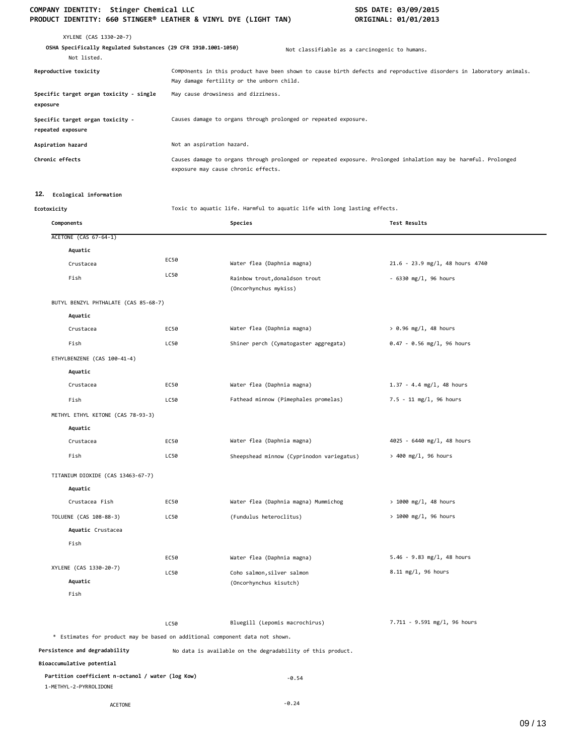# COMPANY IDENTITY: Stinger Chemical LLC<br>PRODUCT IDENTITY: 660 STINGER® LEATHER & VINYL DYE (LIGHT TAN) **SOMETINAL: 01/01/2013 PRODUCT IDENTITY: 660 STINGER® LEATHER & VINYL DYE (LIGHT TAN)**

| XYLENE (CAS 1330-20-7)<br>OSHA Specifically Regulated Substances (29 CFR 1910.1001-1050)<br>Not listed. |                                                                 | Not classifiable as a carcinogenic to humans.                                                                       |
|---------------------------------------------------------------------------------------------------------|-----------------------------------------------------------------|---------------------------------------------------------------------------------------------------------------------|
| Reproductive toxicity                                                                                   | May damage fertility or the unborn child.                       | Components in this product have been shown to cause birth defects and reproductive disorders in laboratory animals. |
| Specific target organ toxicity - single<br>exposure                                                     | May cause drowsiness and dizziness.                             |                                                                                                                     |
| Specific target organ toxicity -<br>repeated exposure                                                   | Causes damage to organs through prolonged or repeated exposure. |                                                                                                                     |
| Aspiration hazard                                                                                       | Not an aspiration hazard.                                       |                                                                                                                     |
| Chronic effects                                                                                         | exposure may cause chronic effects.                             | Causes damage to organs through prolonged or repeated exposure. Prolonged inhalation may be harmful. Prolonged      |

# **12. Ecological information**

**Ecotoxicity** Toxic to aquatic life. Harmful to aquatic life with long lasting effects.

| Components                                                                   |      | Species                                                    | Test Results                    |
|------------------------------------------------------------------------------|------|------------------------------------------------------------|---------------------------------|
| <b>ACETONE (CAS 67-64-1)</b>                                                 |      |                                                            |                                 |
| Aquatic                                                                      |      |                                                            |                                 |
| Crustacea                                                                    | EC50 | Water flea (Daphnia magna)                                 | 21.6 - 23.9 mg/l, 48 hours 4740 |
| Fish                                                                         | LC50 | Rainbow trout, donaldson trout<br>(Oncorhynchus mykiss)    | $-6330$ mg/l, 96 hours          |
| BUTYL BENZYL PHTHALATE (CAS 85-68-7)                                         |      |                                                            |                                 |
| Aquatic                                                                      |      |                                                            |                                 |
| Crustacea                                                                    | EC50 | Water flea (Daphnia magna)                                 | $> 0.96$ mg/l, 48 hours         |
| Fish                                                                         | LC50 | Shiner perch (Cymatogaster aggregata)                      | $0.47 - 0.56$ mg/l, 96 hours    |
| ETHYLBENZENE (CAS 100-41-4)                                                  |      |                                                            |                                 |
| Aquatic                                                                      |      |                                                            |                                 |
| Crustacea                                                                    | EC50 | Water flea (Daphnia magna)                                 | $1.37 - 4.4$ mg/l, 48 hours     |
| Fish                                                                         | LC50 | Fathead minnow (Pimephales promelas)                       | $7.5 - 11$ mg/l, 96 hours       |
| METHYL ETHYL KETONE (CAS 78-93-3)                                            |      |                                                            |                                 |
| Aquatic                                                                      |      |                                                            |                                 |
| Crustacea                                                                    | EC50 | Water flea (Daphnia magna)                                 | 4025 - 6440 mg/l, 48 hours      |
| Fish                                                                         | LC50 | Sheepshead minnow (Cyprinodon variegatus)                  | > 400 mg/l, 96 hours            |
| TITANIUM DIOXIDE (CAS 13463-67-7)                                            |      |                                                            |                                 |
| Aquatic                                                                      |      |                                                            |                                 |
| Crustacea Fish                                                               | EC50 | Water flea (Daphnia magna) Mummichog                       | $> 1000$ mg/l, 48 hours         |
| TOLUENE (CAS 108-88-3)                                                       | LC50 | (Fundulus heteroclitus)                                    | > 1000 mg/l, 96 hours           |
| Aquatic Crustacea                                                            |      |                                                            |                                 |
| Fish                                                                         |      |                                                            |                                 |
|                                                                              | EC50 | Water flea (Daphnia magna)                                 | 5.46 - 9.83 mg/l, 48 hours      |
| XYLENE (CAS 1330-20-7)                                                       | LC50 | Coho salmon, silver salmon                                 | 8.11 mg/l, 96 hours             |
| Aquatic                                                                      |      | (Oncorhynchus kisutch)                                     |                                 |
| Fish                                                                         |      |                                                            |                                 |
|                                                                              | LC50 | Bluegill (Lepomis macrochirus)                             | 7.711 - 9.591 mg/l, 96 hours    |
| * Estimates for product may be based on additional component data not shown. |      |                                                            |                                 |
| Persistence and degradability                                                |      | No data is available on the degradability of this product. |                                 |
| Bioaccumulative potential                                                    |      |                                                            |                                 |
| Partition coefficient n-octanol / water (log Kow)<br>1-METHYL-2-PYRROLIDONE  |      | $-0.54$                                                    |                                 |
| <b>ACETONE</b>                                                               |      | $-0.24$                                                    |                                 |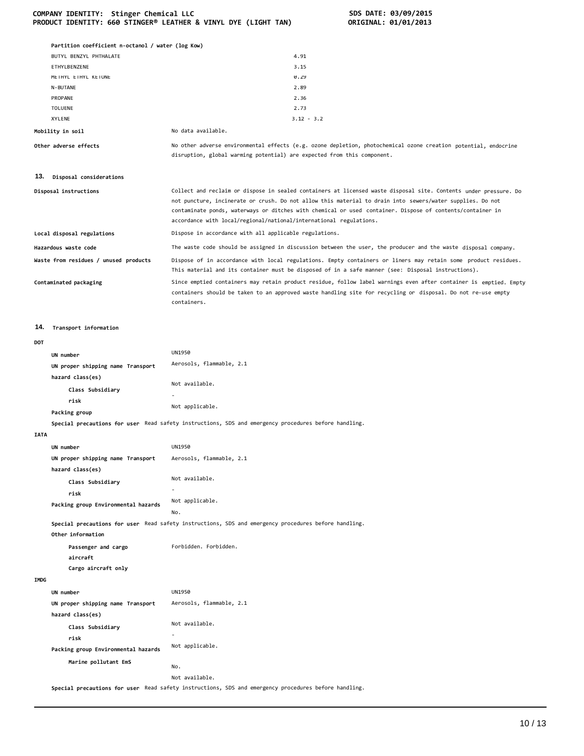#### **COMPANY IDENTITY: Stinger Chemical LLC SDS DATE: 03/09/2015 PRODUCT IDENTITY: 660 STINGER® LEATHER & VINYL DYE (LIGHT TAN) ORIGINAL: 01/01/2013**

|                  | Partition coefficient n-octanol / water (log Kow) |                                                                                                                                                                                                                                                  |
|------------------|---------------------------------------------------|--------------------------------------------------------------------------------------------------------------------------------------------------------------------------------------------------------------------------------------------------|
|                  | BUTYL BENZYL PHTHALATE                            | 4.91                                                                                                                                                                                                                                             |
|                  | ETHYLBENZENE                                      | 3.15                                                                                                                                                                                                                                             |
|                  | METHYL ETHYL KETONE                               | 0.29                                                                                                                                                                                                                                             |
|                  | N-BUTANE                                          | 2.89                                                                                                                                                                                                                                             |
|                  | PROPANE                                           | 2.36                                                                                                                                                                                                                                             |
|                  | <b>TOLUENE</b>                                    | 2.73                                                                                                                                                                                                                                             |
|                  | <b>XYLENE</b>                                     | $3.12 - 3.2$                                                                                                                                                                                                                                     |
| Mobility in soil |                                                   | No data available.                                                                                                                                                                                                                               |
|                  | Other adverse effects                             | No other adverse environmental effects (e.g. ozone depletion, photochemical ozone creation potential, endocrine<br>disruption, global warming potential) are expected from this component.                                                       |
| 13.              | Disposal considerations                           |                                                                                                                                                                                                                                                  |
|                  | Disposal instructions                             | Collect and reclaim or dispose in sealed containers at licensed waste disposal site. Contents under pressure. Do<br>not puncture, incinerate or crush. Do not allow this material to drain into sewers/water supplies. Do not                    |
|                  |                                                   | contaminate ponds, waterways or ditches with chemical or used container. Dispose of contents/container in<br>accordance with local/regional/national/international regulations.                                                                  |
|                  | Local disposal regulations                        | Dispose in accordance with all applicable regulations.                                                                                                                                                                                           |
|                  | Hazardous waste code                              | The waste code should be assigned in discussion between the user, the producer and the waste disposal company.                                                                                                                                   |
|                  | Waste from residues / unused products             | Dispose of in accordance with local regulations. Empty containers or liners may retain some product residues.<br>This material and its container must be disposed of in a safe manner (see: Disposal instructions).                              |
|                  | Contaminated packaging                            | Since emptied containers may retain product residue, follow label warnings even after container is emptied. Empty<br>containers should be taken to an approved waste handling site for recycling or disposal. Do not re-use empty<br>containers. |
| 14.              | Transport information                             |                                                                                                                                                                                                                                                  |
| DOT              |                                                   |                                                                                                                                                                                                                                                  |
|                  | UN number                                         | <b>UN1950</b>                                                                                                                                                                                                                                    |
|                  | UN proper shipping name Transport                 | Aerosols, flammable, 2.1                                                                                                                                                                                                                         |
|                  | hazard class(es)                                  |                                                                                                                                                                                                                                                  |
|                  | Class Subsidiary                                  | Not available.                                                                                                                                                                                                                                   |
|                  | risk                                              | ٠                                                                                                                                                                                                                                                |
|                  | Packing group                                     | Not applicable.                                                                                                                                                                                                                                  |
|                  |                                                   | Special precautions for user Read safety instructions, SDS and emergency procedures before handling.                                                                                                                                             |
| <b>IATA</b>      |                                                   |                                                                                                                                                                                                                                                  |
|                  | UN number                                         | UN1950                                                                                                                                                                                                                                           |
|                  | UN proper shipping name Transport                 | Aerosols, flammable, 2.1                                                                                                                                                                                                                         |
|                  | hazard class(es)                                  |                                                                                                                                                                                                                                                  |
|                  | Class Subsidiary                                  | Not available.                                                                                                                                                                                                                                   |
|                  | risk                                              |                                                                                                                                                                                                                                                  |
|                  | Packing group Environmental hazards               | Not applicable.                                                                                                                                                                                                                                  |
|                  |                                                   | No.                                                                                                                                                                                                                                              |
|                  |                                                   | Special precautions for user Read safety instructions, SDS and emergency procedures before handling.                                                                                                                                             |
|                  | Other information                                 |                                                                                                                                                                                                                                                  |
|                  | Passenger and cargo<br>aircraft                   | Forbidden. Forbidden.                                                                                                                                                                                                                            |
|                  | Cargo aircraft only                               |                                                                                                                                                                                                                                                  |
| <b>IMDG</b>      |                                                   |                                                                                                                                                                                                                                                  |
|                  | UN number                                         | UN1950                                                                                                                                                                                                                                           |
|                  | UN proper shipping name Transport                 | Aerosols, flammable, 2.1                                                                                                                                                                                                                         |
|                  | hazard class(es)                                  |                                                                                                                                                                                                                                                  |
|                  | Class Subsidiary                                  | Not available.                                                                                                                                                                                                                                   |
|                  | risk                                              |                                                                                                                                                                                                                                                  |

**Special precautions for user** Read safety instructions, SDS and emergency procedures before handling.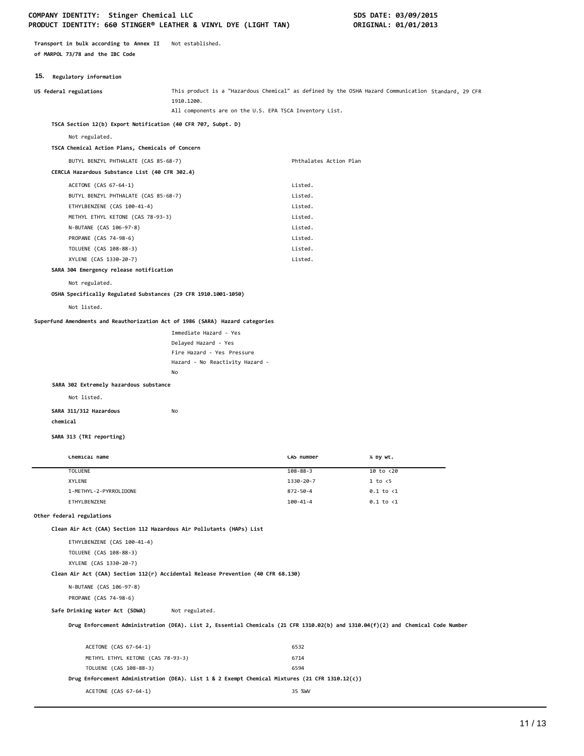# COMPANY IDENTITY: Stinger Chemical LLC **SDS DATE: 03/09/2015 PRODUCT IDENTITY: 660 STINGER® LEATHER & VINYL DYE (LIGHT TAN) ORIGINAL: 01/01/2013**

**Transport in bulk according to Annex II** Not established. **of MARPOL 73/78 and the IBC Code**

# **15. Regulatory information**

| This product is a "Hazardous Chemical" as defined by the OSHA Hazard Communication Standard, 29 CFR<br>US federal regulations<br>1910.1200.<br>All components are on the U.S. EPA TSCA Inventory List.<br>TSCA Section 12(b) Export Notification (40 CFR 707, Subpt. D)<br>Not regulated.<br>TSCA Chemical Action Plans, Chemicals of Concern<br>BUTYL BENZYL PHTHALATE (CAS 85-68-7)<br>Phthalates Action Plan<br>CERCLA Hazardous Substance List (40 CFR 302.4)<br>ACETONE (CAS 67-64-1)<br>Listed.<br>Listed.<br>BUTYL BENZYL PHTHALATE (CAS 85-68-7)<br>ETHYLBENZENE (CAS 100-41-4)<br>Listed.<br>Listed.<br>METHYL ETHYL KETONE (CAS 78-93-3)<br>N-BUTANE (CAS 106-97-8)<br>Listed.<br>PROPANE (CAS 74-98-6)<br>Listed.<br>Listed.<br>TOLUENE (CAS 108-88-3)<br>XYLENE (CAS 1330-20-7)<br>Listed.<br>SARA 304 Emergency release notification<br>Not regulated.<br>OSHA Specifically Regulated Substances (29 CFR 1910.1001-1050)<br>Not listed.<br>Superfund Amendments and Reauthorization Act of 1986 (SARA) Hazard categories<br>Immediate Hazard - Yes<br>Delayed Hazard - Yes<br>Fire Hazard - Yes Pressure<br>Hazard - No Reactivity Hazard -<br>No<br>SARA 302 Extremely hazardous substance<br>Not listed.<br>No<br>SARA 311/312 Hazardous<br>chemical<br>SARA 313 (TRI reporting)<br>Chemical name<br>CAS number<br>% by wt.<br><b>TOLUENE</b><br>$10$ to $\langle 20$<br>$108 - 88 - 3$<br><b>XYLENE</b><br>1330-20-7<br>1 to < 5<br>1-METHYL-2-PYRROLIDONE<br>$872 - 50 - 4$<br>$0.1$ to $\langle 1$<br>ETHYLBENZENE<br>$100 - 41 - 4$<br>$0.1$ to $\langle 1$<br>Other federal regulations<br>Clean Air Act (CAA) Section 112 Hazardous Air Pollutants (HAPs) List<br>ETHYLBENZENE (CAS 100-41-4)<br>TOLUENE (CAS 108-88-3)<br>XYLENE (CAS 1330-20-7)<br>Clean Air Act (CAA) Section 112(r) Accidental Release Prevention (40 CFR 68.130)<br>N-BUTANE (CAS 106-97-8)<br>PROPANE (CAS 74-98-6)<br>Not regulated.<br>Safe Drinking Water Act (SDWA)<br>Drug Enforcement Administration (DEA). List 2, Essential Chemicals (21 CFR 1310.02(b) and 1310.04(f)(2) and Chemical Code Number | <b>19.</b> Acgustory Information |      |  |
|--------------------------------------------------------------------------------------------------------------------------------------------------------------------------------------------------------------------------------------------------------------------------------------------------------------------------------------------------------------------------------------------------------------------------------------------------------------------------------------------------------------------------------------------------------------------------------------------------------------------------------------------------------------------------------------------------------------------------------------------------------------------------------------------------------------------------------------------------------------------------------------------------------------------------------------------------------------------------------------------------------------------------------------------------------------------------------------------------------------------------------------------------------------------------------------------------------------------------------------------------------------------------------------------------------------------------------------------------------------------------------------------------------------------------------------------------------------------------------------------------------------------------------------------------------------------------------------------------------------------------------------------------------------------------------------------------------------------------------------------------------------------------------------------------------------------------------------------------------------------------------------------------------------------------------------------------------------------------------------------------------------------------------------------------------------------------------------------------------|----------------------------------|------|--|
|                                                                                                                                                                                                                                                                                                                                                                                                                                                                                                                                                                                                                                                                                                                                                                                                                                                                                                                                                                                                                                                                                                                                                                                                                                                                                                                                                                                                                                                                                                                                                                                                                                                                                                                                                                                                                                                                                                                                                                                                                                                                                                        |                                  |      |  |
|                                                                                                                                                                                                                                                                                                                                                                                                                                                                                                                                                                                                                                                                                                                                                                                                                                                                                                                                                                                                                                                                                                                                                                                                                                                                                                                                                                                                                                                                                                                                                                                                                                                                                                                                                                                                                                                                                                                                                                                                                                                                                                        |                                  |      |  |
|                                                                                                                                                                                                                                                                                                                                                                                                                                                                                                                                                                                                                                                                                                                                                                                                                                                                                                                                                                                                                                                                                                                                                                                                                                                                                                                                                                                                                                                                                                                                                                                                                                                                                                                                                                                                                                                                                                                                                                                                                                                                                                        |                                  |      |  |
|                                                                                                                                                                                                                                                                                                                                                                                                                                                                                                                                                                                                                                                                                                                                                                                                                                                                                                                                                                                                                                                                                                                                                                                                                                                                                                                                                                                                                                                                                                                                                                                                                                                                                                                                                                                                                                                                                                                                                                                                                                                                                                        |                                  |      |  |
|                                                                                                                                                                                                                                                                                                                                                                                                                                                                                                                                                                                                                                                                                                                                                                                                                                                                                                                                                                                                                                                                                                                                                                                                                                                                                                                                                                                                                                                                                                                                                                                                                                                                                                                                                                                                                                                                                                                                                                                                                                                                                                        |                                  |      |  |
|                                                                                                                                                                                                                                                                                                                                                                                                                                                                                                                                                                                                                                                                                                                                                                                                                                                                                                                                                                                                                                                                                                                                                                                                                                                                                                                                                                                                                                                                                                                                                                                                                                                                                                                                                                                                                                                                                                                                                                                                                                                                                                        |                                  |      |  |
|                                                                                                                                                                                                                                                                                                                                                                                                                                                                                                                                                                                                                                                                                                                                                                                                                                                                                                                                                                                                                                                                                                                                                                                                                                                                                                                                                                                                                                                                                                                                                                                                                                                                                                                                                                                                                                                                                                                                                                                                                                                                                                        |                                  |      |  |
|                                                                                                                                                                                                                                                                                                                                                                                                                                                                                                                                                                                                                                                                                                                                                                                                                                                                                                                                                                                                                                                                                                                                                                                                                                                                                                                                                                                                                                                                                                                                                                                                                                                                                                                                                                                                                                                                                                                                                                                                                                                                                                        |                                  |      |  |
|                                                                                                                                                                                                                                                                                                                                                                                                                                                                                                                                                                                                                                                                                                                                                                                                                                                                                                                                                                                                                                                                                                                                                                                                                                                                                                                                                                                                                                                                                                                                                                                                                                                                                                                                                                                                                                                                                                                                                                                                                                                                                                        |                                  |      |  |
|                                                                                                                                                                                                                                                                                                                                                                                                                                                                                                                                                                                                                                                                                                                                                                                                                                                                                                                                                                                                                                                                                                                                                                                                                                                                                                                                                                                                                                                                                                                                                                                                                                                                                                                                                                                                                                                                                                                                                                                                                                                                                                        |                                  |      |  |
|                                                                                                                                                                                                                                                                                                                                                                                                                                                                                                                                                                                                                                                                                                                                                                                                                                                                                                                                                                                                                                                                                                                                                                                                                                                                                                                                                                                                                                                                                                                                                                                                                                                                                                                                                                                                                                                                                                                                                                                                                                                                                                        |                                  |      |  |
|                                                                                                                                                                                                                                                                                                                                                                                                                                                                                                                                                                                                                                                                                                                                                                                                                                                                                                                                                                                                                                                                                                                                                                                                                                                                                                                                                                                                                                                                                                                                                                                                                                                                                                                                                                                                                                                                                                                                                                                                                                                                                                        |                                  |      |  |
|                                                                                                                                                                                                                                                                                                                                                                                                                                                                                                                                                                                                                                                                                                                                                                                                                                                                                                                                                                                                                                                                                                                                                                                                                                                                                                                                                                                                                                                                                                                                                                                                                                                                                                                                                                                                                                                                                                                                                                                                                                                                                                        |                                  |      |  |
|                                                                                                                                                                                                                                                                                                                                                                                                                                                                                                                                                                                                                                                                                                                                                                                                                                                                                                                                                                                                                                                                                                                                                                                                                                                                                                                                                                                                                                                                                                                                                                                                                                                                                                                                                                                                                                                                                                                                                                                                                                                                                                        |                                  |      |  |
|                                                                                                                                                                                                                                                                                                                                                                                                                                                                                                                                                                                                                                                                                                                                                                                                                                                                                                                                                                                                                                                                                                                                                                                                                                                                                                                                                                                                                                                                                                                                                                                                                                                                                                                                                                                                                                                                                                                                                                                                                                                                                                        |                                  |      |  |
|                                                                                                                                                                                                                                                                                                                                                                                                                                                                                                                                                                                                                                                                                                                                                                                                                                                                                                                                                                                                                                                                                                                                                                                                                                                                                                                                                                                                                                                                                                                                                                                                                                                                                                                                                                                                                                                                                                                                                                                                                                                                                                        |                                  |      |  |
|                                                                                                                                                                                                                                                                                                                                                                                                                                                                                                                                                                                                                                                                                                                                                                                                                                                                                                                                                                                                                                                                                                                                                                                                                                                                                                                                                                                                                                                                                                                                                                                                                                                                                                                                                                                                                                                                                                                                                                                                                                                                                                        |                                  |      |  |
|                                                                                                                                                                                                                                                                                                                                                                                                                                                                                                                                                                                                                                                                                                                                                                                                                                                                                                                                                                                                                                                                                                                                                                                                                                                                                                                                                                                                                                                                                                                                                                                                                                                                                                                                                                                                                                                                                                                                                                                                                                                                                                        |                                  |      |  |
|                                                                                                                                                                                                                                                                                                                                                                                                                                                                                                                                                                                                                                                                                                                                                                                                                                                                                                                                                                                                                                                                                                                                                                                                                                                                                                                                                                                                                                                                                                                                                                                                                                                                                                                                                                                                                                                                                                                                                                                                                                                                                                        |                                  |      |  |
|                                                                                                                                                                                                                                                                                                                                                                                                                                                                                                                                                                                                                                                                                                                                                                                                                                                                                                                                                                                                                                                                                                                                                                                                                                                                                                                                                                                                                                                                                                                                                                                                                                                                                                                                                                                                                                                                                                                                                                                                                                                                                                        |                                  |      |  |
|                                                                                                                                                                                                                                                                                                                                                                                                                                                                                                                                                                                                                                                                                                                                                                                                                                                                                                                                                                                                                                                                                                                                                                                                                                                                                                                                                                                                                                                                                                                                                                                                                                                                                                                                                                                                                                                                                                                                                                                                                                                                                                        |                                  |      |  |
|                                                                                                                                                                                                                                                                                                                                                                                                                                                                                                                                                                                                                                                                                                                                                                                                                                                                                                                                                                                                                                                                                                                                                                                                                                                                                                                                                                                                                                                                                                                                                                                                                                                                                                                                                                                                                                                                                                                                                                                                                                                                                                        |                                  |      |  |
|                                                                                                                                                                                                                                                                                                                                                                                                                                                                                                                                                                                                                                                                                                                                                                                                                                                                                                                                                                                                                                                                                                                                                                                                                                                                                                                                                                                                                                                                                                                                                                                                                                                                                                                                                                                                                                                                                                                                                                                                                                                                                                        |                                  |      |  |
|                                                                                                                                                                                                                                                                                                                                                                                                                                                                                                                                                                                                                                                                                                                                                                                                                                                                                                                                                                                                                                                                                                                                                                                                                                                                                                                                                                                                                                                                                                                                                                                                                                                                                                                                                                                                                                                                                                                                                                                                                                                                                                        |                                  |      |  |
|                                                                                                                                                                                                                                                                                                                                                                                                                                                                                                                                                                                                                                                                                                                                                                                                                                                                                                                                                                                                                                                                                                                                                                                                                                                                                                                                                                                                                                                                                                                                                                                                                                                                                                                                                                                                                                                                                                                                                                                                                                                                                                        |                                  |      |  |
|                                                                                                                                                                                                                                                                                                                                                                                                                                                                                                                                                                                                                                                                                                                                                                                                                                                                                                                                                                                                                                                                                                                                                                                                                                                                                                                                                                                                                                                                                                                                                                                                                                                                                                                                                                                                                                                                                                                                                                                                                                                                                                        |                                  |      |  |
|                                                                                                                                                                                                                                                                                                                                                                                                                                                                                                                                                                                                                                                                                                                                                                                                                                                                                                                                                                                                                                                                                                                                                                                                                                                                                                                                                                                                                                                                                                                                                                                                                                                                                                                                                                                                                                                                                                                                                                                                                                                                                                        |                                  |      |  |
|                                                                                                                                                                                                                                                                                                                                                                                                                                                                                                                                                                                                                                                                                                                                                                                                                                                                                                                                                                                                                                                                                                                                                                                                                                                                                                                                                                                                                                                                                                                                                                                                                                                                                                                                                                                                                                                                                                                                                                                                                                                                                                        |                                  |      |  |
|                                                                                                                                                                                                                                                                                                                                                                                                                                                                                                                                                                                                                                                                                                                                                                                                                                                                                                                                                                                                                                                                                                                                                                                                                                                                                                                                                                                                                                                                                                                                                                                                                                                                                                                                                                                                                                                                                                                                                                                                                                                                                                        |                                  |      |  |
|                                                                                                                                                                                                                                                                                                                                                                                                                                                                                                                                                                                                                                                                                                                                                                                                                                                                                                                                                                                                                                                                                                                                                                                                                                                                                                                                                                                                                                                                                                                                                                                                                                                                                                                                                                                                                                                                                                                                                                                                                                                                                                        |                                  |      |  |
|                                                                                                                                                                                                                                                                                                                                                                                                                                                                                                                                                                                                                                                                                                                                                                                                                                                                                                                                                                                                                                                                                                                                                                                                                                                                                                                                                                                                                                                                                                                                                                                                                                                                                                                                                                                                                                                                                                                                                                                                                                                                                                        |                                  |      |  |
|                                                                                                                                                                                                                                                                                                                                                                                                                                                                                                                                                                                                                                                                                                                                                                                                                                                                                                                                                                                                                                                                                                                                                                                                                                                                                                                                                                                                                                                                                                                                                                                                                                                                                                                                                                                                                                                                                                                                                                                                                                                                                                        |                                  |      |  |
|                                                                                                                                                                                                                                                                                                                                                                                                                                                                                                                                                                                                                                                                                                                                                                                                                                                                                                                                                                                                                                                                                                                                                                                                                                                                                                                                                                                                                                                                                                                                                                                                                                                                                                                                                                                                                                                                                                                                                                                                                                                                                                        |                                  |      |  |
|                                                                                                                                                                                                                                                                                                                                                                                                                                                                                                                                                                                                                                                                                                                                                                                                                                                                                                                                                                                                                                                                                                                                                                                                                                                                                                                                                                                                                                                                                                                                                                                                                                                                                                                                                                                                                                                                                                                                                                                                                                                                                                        |                                  |      |  |
|                                                                                                                                                                                                                                                                                                                                                                                                                                                                                                                                                                                                                                                                                                                                                                                                                                                                                                                                                                                                                                                                                                                                                                                                                                                                                                                                                                                                                                                                                                                                                                                                                                                                                                                                                                                                                                                                                                                                                                                                                                                                                                        |                                  |      |  |
|                                                                                                                                                                                                                                                                                                                                                                                                                                                                                                                                                                                                                                                                                                                                                                                                                                                                                                                                                                                                                                                                                                                                                                                                                                                                                                                                                                                                                                                                                                                                                                                                                                                                                                                                                                                                                                                                                                                                                                                                                                                                                                        |                                  |      |  |
|                                                                                                                                                                                                                                                                                                                                                                                                                                                                                                                                                                                                                                                                                                                                                                                                                                                                                                                                                                                                                                                                                                                                                                                                                                                                                                                                                                                                                                                                                                                                                                                                                                                                                                                                                                                                                                                                                                                                                                                                                                                                                                        |                                  |      |  |
|                                                                                                                                                                                                                                                                                                                                                                                                                                                                                                                                                                                                                                                                                                                                                                                                                                                                                                                                                                                                                                                                                                                                                                                                                                                                                                                                                                                                                                                                                                                                                                                                                                                                                                                                                                                                                                                                                                                                                                                                                                                                                                        |                                  |      |  |
|                                                                                                                                                                                                                                                                                                                                                                                                                                                                                                                                                                                                                                                                                                                                                                                                                                                                                                                                                                                                                                                                                                                                                                                                                                                                                                                                                                                                                                                                                                                                                                                                                                                                                                                                                                                                                                                                                                                                                                                                                                                                                                        |                                  |      |  |
|                                                                                                                                                                                                                                                                                                                                                                                                                                                                                                                                                                                                                                                                                                                                                                                                                                                                                                                                                                                                                                                                                                                                                                                                                                                                                                                                                                                                                                                                                                                                                                                                                                                                                                                                                                                                                                                                                                                                                                                                                                                                                                        |                                  |      |  |
|                                                                                                                                                                                                                                                                                                                                                                                                                                                                                                                                                                                                                                                                                                                                                                                                                                                                                                                                                                                                                                                                                                                                                                                                                                                                                                                                                                                                                                                                                                                                                                                                                                                                                                                                                                                                                                                                                                                                                                                                                                                                                                        |                                  |      |  |
|                                                                                                                                                                                                                                                                                                                                                                                                                                                                                                                                                                                                                                                                                                                                                                                                                                                                                                                                                                                                                                                                                                                                                                                                                                                                                                                                                                                                                                                                                                                                                                                                                                                                                                                                                                                                                                                                                                                                                                                                                                                                                                        |                                  |      |  |
|                                                                                                                                                                                                                                                                                                                                                                                                                                                                                                                                                                                                                                                                                                                                                                                                                                                                                                                                                                                                                                                                                                                                                                                                                                                                                                                                                                                                                                                                                                                                                                                                                                                                                                                                                                                                                                                                                                                                                                                                                                                                                                        |                                  |      |  |
|                                                                                                                                                                                                                                                                                                                                                                                                                                                                                                                                                                                                                                                                                                                                                                                                                                                                                                                                                                                                                                                                                                                                                                                                                                                                                                                                                                                                                                                                                                                                                                                                                                                                                                                                                                                                                                                                                                                                                                                                                                                                                                        |                                  |      |  |
|                                                                                                                                                                                                                                                                                                                                                                                                                                                                                                                                                                                                                                                                                                                                                                                                                                                                                                                                                                                                                                                                                                                                                                                                                                                                                                                                                                                                                                                                                                                                                                                                                                                                                                                                                                                                                                                                                                                                                                                                                                                                                                        |                                  |      |  |
|                                                                                                                                                                                                                                                                                                                                                                                                                                                                                                                                                                                                                                                                                                                                                                                                                                                                                                                                                                                                                                                                                                                                                                                                                                                                                                                                                                                                                                                                                                                                                                                                                                                                                                                                                                                                                                                                                                                                                                                                                                                                                                        |                                  |      |  |
|                                                                                                                                                                                                                                                                                                                                                                                                                                                                                                                                                                                                                                                                                                                                                                                                                                                                                                                                                                                                                                                                                                                                                                                                                                                                                                                                                                                                                                                                                                                                                                                                                                                                                                                                                                                                                                                                                                                                                                                                                                                                                                        |                                  |      |  |
|                                                                                                                                                                                                                                                                                                                                                                                                                                                                                                                                                                                                                                                                                                                                                                                                                                                                                                                                                                                                                                                                                                                                                                                                                                                                                                                                                                                                                                                                                                                                                                                                                                                                                                                                                                                                                                                                                                                                                                                                                                                                                                        | ACETONE (CAS 67-64-1)            | 6532 |  |

METHYL ETHYL KETONE (CAS 78-93-3) 6714 TOLUENE (CAS 108-88-3) 6594

ACETONE (CAS 67-64-1) 35 %WV

**Drug Enforcement Administration (DEA). List 1 & 2 Exempt Chemical Mixtures (21 CFR 1310.12(c))**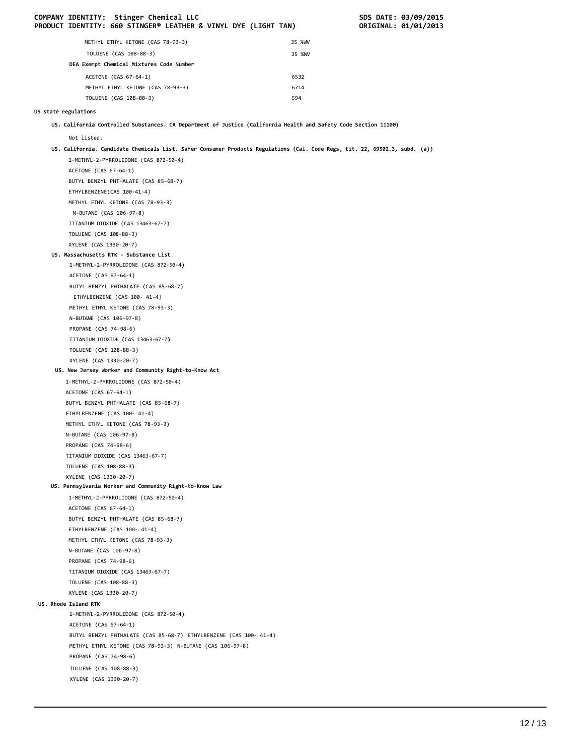|                      | COMPANY IDENTITY: Stinger Chemical LLC<br>PRODUCT IDENTITY: 660 STINGER® LEATHER & VINYL DYE (LIGHT TAN)                    |        | SDS DATE: 03/09/2015<br>ORIGINAL: 01/01/2013 |
|----------------------|-----------------------------------------------------------------------------------------------------------------------------|--------|----------------------------------------------|
|                      | METHYL ETHYL KETONE (CAS 78-93-3)                                                                                           | 35 %WV |                                              |
|                      | TOLUENE (CAS 108-88-3)                                                                                                      | 35 %WV |                                              |
|                      | DEA Exempt Chemical Mixtures Code Number                                                                                    |        |                                              |
|                      | ACETONE (CAS 67-64-1)                                                                                                       | 6532   |                                              |
|                      | METHYL ETHYL KETONE (CAS 78-93-3)                                                                                           | 6714   |                                              |
|                      | TOLUENE (CAS 108-88-3)                                                                                                      | 594    |                                              |
|                      |                                                                                                                             |        |                                              |
| US state regulations |                                                                                                                             |        |                                              |
|                      | US. California Controlled Substances. CA Department of Justice (California Health and Safety Code Section 11100)            |        |                                              |
| Not listed.          |                                                                                                                             |        |                                              |
|                      | US. California. Candidate Chemicals List. Safer Consumer Products Regulations (Cal. Code Regs, tit. 22, 69502.3, subd. (a)) |        |                                              |
|                      | 1-METHYL-2-PYRROLIDONE (CAS 872-50-4)                                                                                       |        |                                              |
|                      | ACETONE (CAS 67-64-1)                                                                                                       |        |                                              |
|                      | BUTYL BENZYL PHTHALATE (CAS 85-68-7)                                                                                        |        |                                              |
|                      | ETHYLBENZENE(CAS 100-41-4)                                                                                                  |        |                                              |
|                      | METHYL ETHYL KETONE (CAS 78-93-3)                                                                                           |        |                                              |
|                      | N-BUTANE (CAS 106-97-8)                                                                                                     |        |                                              |
|                      | TITANIUM DIOXIDE (CAS 13463-67-7)                                                                                           |        |                                              |
|                      | TOLUENE (CAS 108-88-3)                                                                                                      |        |                                              |
|                      | XYLENE (CAS 1330-20-7)                                                                                                      |        |                                              |
|                      | US. Massachusetts RTK - Substance List                                                                                      |        |                                              |
|                      | 1-METHYL-2-PYRROLIDONE (CAS 872-50-4)<br>ACETONE (CAS 67-64-1)                                                              |        |                                              |
|                      | BUTYL BENZYL PHTHALATE (CAS 85-68-7)                                                                                        |        |                                              |
|                      | ETHYLBENZENE (CAS 100- 41-4)                                                                                                |        |                                              |
|                      | METHYL ETHYL KETONE (CAS 78-93-3)                                                                                           |        |                                              |
|                      | N-BUTANE (CAS 106-97-8)                                                                                                     |        |                                              |
|                      | PROPANE (CAS 74-98-6)                                                                                                       |        |                                              |
|                      | TITANIUM DIOXIDE (CAS 13463-67-7)                                                                                           |        |                                              |
|                      | TOLUENE (CAS 108-88-3)                                                                                                      |        |                                              |
|                      | XYLENE (CAS 1330-20-7)                                                                                                      |        |                                              |
|                      | US. New Jersey Worker and Community Right-to-Know Act                                                                       |        |                                              |
|                      | 1-METHYL-2-PYRROLIDONE (CAS 872-50-4)                                                                                       |        |                                              |
|                      | ACETONE (CAS 67-64-1)                                                                                                       |        |                                              |
|                      | BUTYL BENZYL PHTHALATE (CAS 85-68-7)                                                                                        |        |                                              |
|                      | ETHYLBENZENE (CAS 100- 41-4)                                                                                                |        |                                              |
|                      | METHYL ETHYL KETONE (CAS 78-93-3)                                                                                           |        |                                              |
|                      | N-BUTANE (CAS 106-97-8)                                                                                                     |        |                                              |
|                      | PROPANE (CAS 74-98-6)                                                                                                       |        |                                              |
|                      | TITANIUM DIOXIDE (CAS 13463-67-7)                                                                                           |        |                                              |
|                      | TOLUENE (CAS 108-88-3)                                                                                                      |        |                                              |
|                      | XYLENE (CAS 1330-20-7)<br>US. Pennsylvania Worker and Community Right-to-Know Law                                           |        |                                              |
|                      | 1-METHYL-2-PYRROLIDONE (CAS 872-50-4)                                                                                       |        |                                              |
|                      | ACETONE (CAS 67-64-1)                                                                                                       |        |                                              |
|                      | BUTYL BENZYL PHTHALATE (CAS 85-68-7)                                                                                        |        |                                              |
|                      | ETHYLBENZENE (CAS 100- 41-4)                                                                                                |        |                                              |
|                      | METHYL ETHYL KETONE (CAS 78-93-3)                                                                                           |        |                                              |
|                      | N-BUTANE (CAS 106-97-8)                                                                                                     |        |                                              |
|                      | PROPANE (CAS 74-98-6)                                                                                                       |        |                                              |
|                      | TITANIUM DIOXIDE (CAS 13463-67-7)                                                                                           |        |                                              |
|                      | TOLUENE (CAS 108-88-3)                                                                                                      |        |                                              |
|                      | XYLENE (CAS 1330-20-7)                                                                                                      |        |                                              |
| US. Rhode Island RTK |                                                                                                                             |        |                                              |
|                      | 1-METHYL-2-PYRROLIDONE (CAS 872-50-4)                                                                                       |        |                                              |
|                      | ACETONE (CAS 67-64-1)                                                                                                       |        |                                              |
|                      | BUTYL BENZYL PHTHALATE (CAS 85-68-7) ETHYLBENZENE (CAS 100- 41-4)                                                           |        |                                              |
|                      | METHYL ETHYL KETONE (CAS 78-93-3) N-BUTANE (CAS 106-97-8)                                                                   |        |                                              |
|                      | PROPANE (CAS 74-98-6)                                                                                                       |        |                                              |
|                      | TOLUENE (CAS 108-88-3)                                                                                                      |        |                                              |
|                      | XYLENE (CAS 1330-20-7)                                                                                                      |        |                                              |